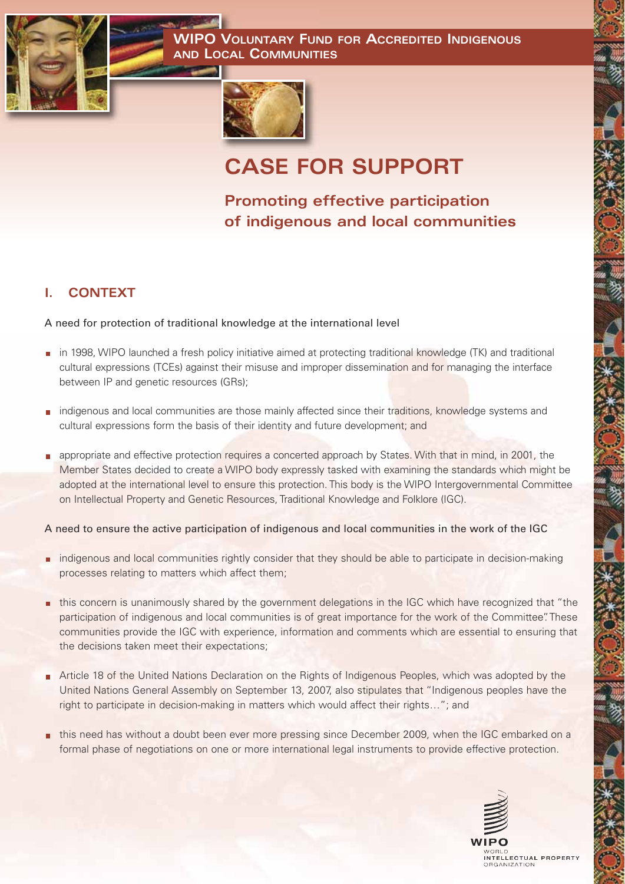**WIPO VOLUNTARY FUND FOR ACCREDITED INDIGENOUS AND LOCAL COMMUNITIES**





# **CASE FOR SUPPORT**

**Promoting effective participation of indigenous and local communities**

# **I. CONTEXT**

## A need for protection of traditional knowledge at the international level

- in 1998, WIPO launched a fresh policy initiative aimed at protecting traditional knowledge (TK) and traditional cultural expressions (TCEs) against their misuse and improper dissemination and for managing the interface between IP and genetic resources (GRs);
- **n** indigenous and local communities are those mainly affected since their traditions, knowledge systems and cultural expressions form the basis of their identity and future development; and
- appropriate and effective protection requires a concerted approach by States. With that in mind, in 2001, the Member States decided to create a WIPO body expressly tasked with examining the standards which might be adopted at the international level to ensure this protection. This body is the WIPO Intergovernmental Committee on Intellectual Property and Genetic Resources, Traditional Knowledge and Folklore (IGC).

## A need to ensure the active participation of indigenous and local communities in the work of the IGC

- **n** indigenous and local communities rightly consider that they should be able to participate in decision-making processes relating to matters which affect them;
- this concern is unanimously shared by the government delegations in the IGC which have recognized that "the participation of indigenous and local communities is of great importance for the work of the Committee". These communities provide the IGC with experience, information and comments which are essential to ensuring that the decisions taken meet their expectations;
- Article 18 of the United Nations Declaration on the Rights of Indigenous Peoples, which was adopted by the United Nations General Assembly on September 13, 2007, also stipulates that "Indigenous peoples have the right to participate in decision-making in matters which would affect their rights…"; and
- this need has without a doubt been ever more pressing since December 2009, when the IGC embarked on a formal phase of negotiations on one or more international legal instruments to provide effective protection.

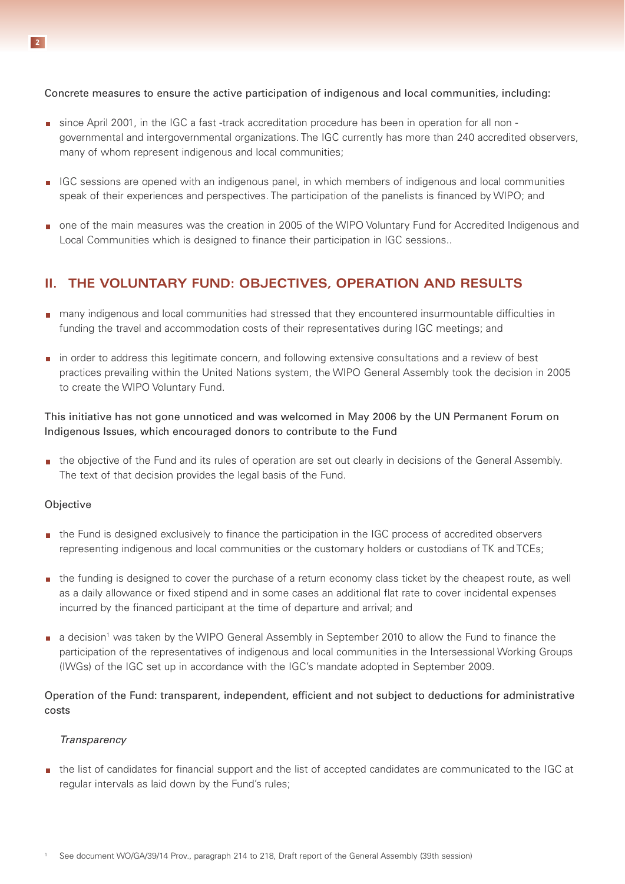Concrete measures to ensure the active participation of indigenous and local communities, including:

- since April 2001, in the IGC a fast -track accreditation procedure has been in operation for all non governmental and intergovernmental organizations. The IGC currently has more than 240 accredited observers, many of whom represent indigenous and local communities;
- IGC sessions are opened with an indigenous panel, in which members of indigenous and local communities speak of their experiences and perspectives. The participation of the panelists is financed by WIPO; and
- one of the main measures was the creation in 2005 of the WIPO Voluntary Fund for Accredited Indigenous and Local Communities which is designed to finance their participation in IGC sessions..

# **II. THE VOLUNTARY FUND: OBJECTIVES, OPERATION AND RESULTS**

- many indigenous and local communities had stressed that they encountered insurmountable difficulties in funding the travel and accommodation costs of their representatives during IGC meetings; and
- **n** in order to address this legitimate concern, and following extensive consultations and a review of best practices prevailing within the United Nations system, the WIPO General Assembly took the decision in 2005 to create the WIPO Voluntary Fund.

## This initiative has not gone unnoticed and was welcomed in May 2006 by the UN Permanent Forum on Indigenous Issues, which encouraged donors to contribute to the Fund

the objective of the Fund and its rules of operation are set out clearly in decisions of the General Assembly. The text of that decision provides the legal basis of the Fund.

#### **Objective**

- the Fund is designed exclusively to finance the participation in the IGC process of accredited observers representing indigenous and local communities or the customary holders or custodians of TK and TCEs;
- **the funding is designed to cover the purchase of a return economy class ticket by the cheapest route, as well** as a daily allowance or fixed stipend and in some cases an additional flat rate to cover incidental expenses incurred by the financed participant at the time of departure and arrival; and
- a decision<sup>1</sup> was taken by the WIPO General Assembly in September 2010 to allow the Fund to finance the participation of the representatives of indigenous and local communities in the Intersessional Working Groups (IWGs) of the IGC set up in accordance with the IGC's mandate adopted in September 2009.

#### Operation of the Fund: transparent, independent, efficient and not subject to deductions for administrative costs

#### *Transparency*

the list of candidates for financial support and the list of accepted candidates are communicated to the IGC at regular intervals as laid down by the Fund's rules;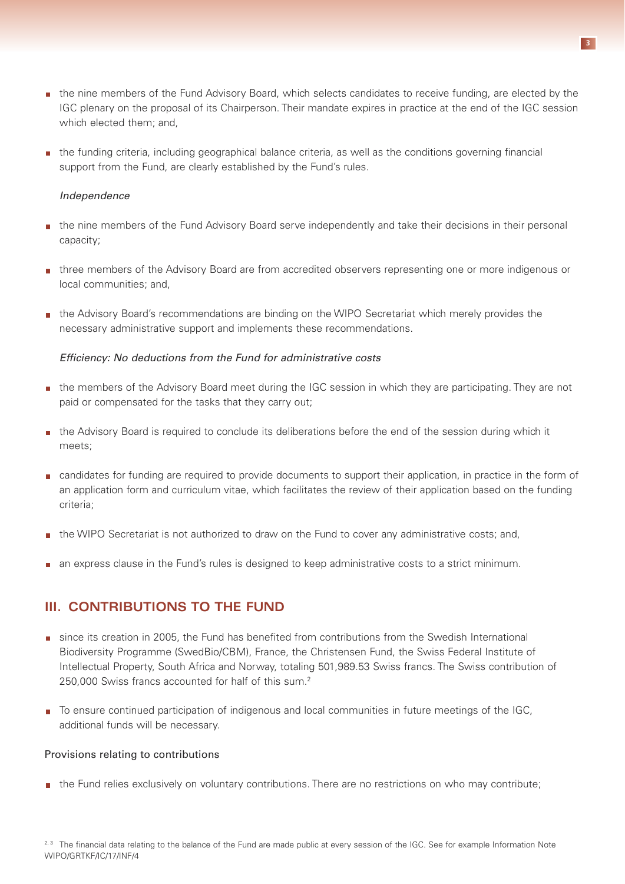- **the nine members of the Fund Advisory Board, which selects candidates to receive funding, are elected by the** IGC plenary on the proposal of its Chairperson. Their mandate expires in practice at the end of the IGC session which elected them; and,
- the funding criteria, including geographical balance criteria, as well as the conditions governing financial support from the Fund, are clearly established by the Fund's rules.

#### *Independence*

- the nine members of the Fund Advisory Board serve independently and take their decisions in their personal capacity;
- **three members of the Advisory Board are from accredited observers representing one or more indigenous or** local communities; and,
- **the Advisory Board's recommendations are binding on the WIPO Secretariat which merely provides the** necessary administrative support and implements these recommendations.

#### *Efficiency: No deductions from the Fund for administrative costs*

- the members of the Advisory Board meet during the IGC session in which they are participating. They are not paid or compensated for the tasks that they carry out;
- **the Advisory Board is required to conclude its deliberations before the end of the session during which it** meets;
- candidates for funding are required to provide documents to support their application, in practice in the form of an application form and curriculum vitae, which facilitates the review of their application based on the funding criteria;
- the WIPO Secretariat is not authorized to draw on the Fund to cover any administrative costs; and,
- an express clause in the Fund's rules is designed to keep administrative costs to a strict minimum.

## **III. CONTRIBUTIONS TO THE FUND**

- since its creation in 2005, the Fund has benefited from contributions from the Swedish International Biodiversity Programme (SwedBio/CBM), France, the Christensen Fund, the Swiss Federal Institute of Intellectual Property, South Africa and Norway, totaling 501,989.53 Swiss francs. The Swiss contribution of 250,000 Swiss francs accounted for half of this sum.2
- To ensure continued participation of indigenous and local communities in future meetings of the IGC. additional funds will be necessary.

#### Provisions relating to contributions

the Fund relies exclusively on voluntary contributions. There are no restrictions on who may contribute;